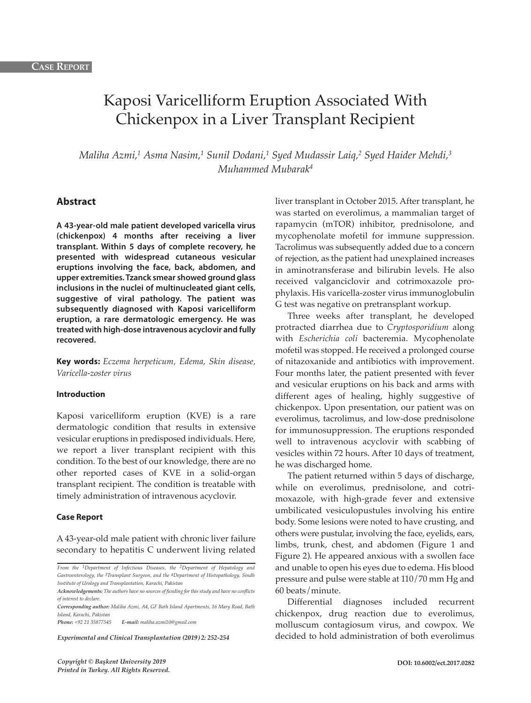# Kaposi Varicelliform Eruption Associated With Chickenpox in a Liver Transplant Recipient

*Maliha Azmi, <sup>1</sup> Asma Nasim, <sup>1</sup> Sunil Dodani, <sup>1</sup> Syed Mudassir Laiq, <sup>2</sup> Syed Haider Mehdi, 3 Muhammed Mubarak4*

## **Abstract**

**A 43-year-old male patient developed varicella virus (chickenpox) 4 months after receiving a liver transplant. Within 5 days of complete recovery, he presented with widespread cutaneous vesicular eruptions involving the face, back, abdomen, and upper extremities. Tzanck smear showed ground glass inclusions in the nuclei of multinucleated giant cells, suggestive of viral pathology. The patient was subsequently diagnosed with Kaposi varicelliform eruption, a rare dermatologic emergency. He was treated with high-dose intravenous acyclovir and fully recovered.**

**Key words:** *Eczema herpeticum, Edema, Skin disease, Varicella-zoster virus*

### **Introduction**

Kaposi varicelliform eruption (KVE) is a rare dermatologic condition that results in extensive vesicular eruptions in predisposed individuals. Here, we report a liver transplant recipient with this condition. To the best of our knowledge, there are no other reported cases of KVE in a solid-organ transplant recipient. The condition is treatable with timely administration of intravenous acyclovir.

#### **Case Report**

A 43-year-old male patient with chronic liver failure secondary to hepatitis C underwent living related

*Phone: +92 21 35877545 E-mail: maliha.azmi10@gmail.com*

*Experimental and Clinical Transplantation (2019) 2: 252-254*

liver transplant in October 2015. After transplant, he was started on everolimus, a mammalian target of rapamycin (mTOR) inhibitor, prednisolone, and mycophenolate mofetil for immune suppression. Tacrolimus was subsequently added due to a concern of rejection, as the patient had unexplained increases in aminotransferase and bilirubin levels. He also received valganciclovir and cotrimoxazole prophylaxis. His varicella-zoster virus immunoglobulin G test was negative on pretransplant workup.

Three weeks after transplant, he developed protracted diarrhea due to *Cryptosporidium* along with *Escherichia coli* bacteremia. Mycophenolate mofetil was stopped. He received a prolonged course of nitazoxanide and antibiotics with improvement. Four months later, the patient presented with fever and vesicular eruptions on his back and arms with different ages of healing, highly suggestive of chickenpox. Upon presentation, our patient was on everolimus, tacrolimus, and low-dose prednisolone for immunosuppression. The eruptions responded well to intravenous acyclovir with scabbing of vesicles within 72 hours. After 10 days of treatment, he was discharged home.

The patient returned within 5 days of discharge, while on everolimus, prednisolone, and cotrimoxazole, with high-grade fever and extensive umbilicated vesiculopustules involving his entire body. Some lesions were noted to have crusting, and others were pustular, involving the face, eyelids, ears, limbs, trunk, chest, and abdomen (Figure 1 and Figure 2). He appeared anxious with a swollen face and unable to open his eyes due to edema. His blood pressure and pulse were stable at 110/70 mm Hg and 60 beats/minute.

Differential diagnoses included recurrent chickenpox, drug reaction due to everolimus, molluscum contagiosum virus, and cowpox. We decided to hold administration of both everolimus

*From the 1Department of Infectious Diseases, the 2Department of Hepatology and Gastroenterology, the 3Transplant Surgeon, and the 4Department of Histopathology, Sindh Institute of Urology and Transplantation, Karachi, Pakistan*

*Acknowledgements: The authors have no sources of funding for this study and have no conflicts of interest to declare.*

*Corresponding author: Maliha Azmi, A4, GF Bath Island Apartments, 16 Mary Road, Bath Island, Karachi, Pakistan*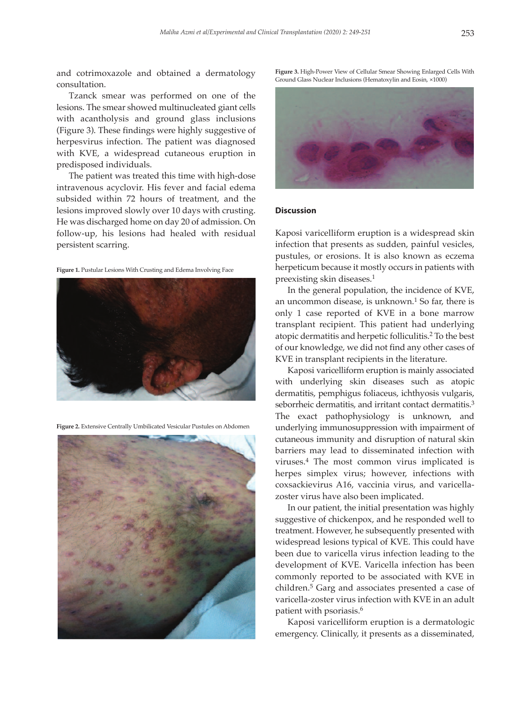and cotrimoxazole and obtained a dermatology consultation.

Tzanck smear was performed on one of the lesions. The smear showed multinucleated giant cells with acantholysis and ground glass inclusions (Figure 3). These findings were highly suggestive of herpesvirus infection. The patient was diagnosed with KVE, a widespread cutaneous eruption in predisposed individuals.

The patient was treated this time with high-dose intravenous acyclovir. His fever and facial edema subsided within 72 hours of treatment, and the lesions improved slowly over 10 days with crusting. He was discharged home on day 20 of admission. On follow-up, his lesions had healed with residual persistent scarring.

**Figure 1.** Pustular Lesions With Crusting and Edema Involving Face



**Figure 2.** Extensive Centrally Umbilicated Vesicular Pustules on Abdomen



**Figure 3.** High-Power View of Cellular Smear Showing Enlarged Cells With Ground Glass Nuclear Inclusions (Hematoxylin and Eosin, ×1000)



#### **Discussion**

Kaposi varicelliform eruption is a widespread skin infection that presents as sudden, painful vesicles, pustules, or erosions. It is also known as eczema herpeticum because it mostly occurs in patients with preexisting skin diseases. 1

In the general population, the incidence of KVE, an uncommon disease, is unknown. <sup>1</sup> So far, there is only 1 case reported of KVE in a bone marrow transplant recipient. This patient had underlying atopic dermatitis and herpetic folliculitis. <sup>2</sup> To the best of our knowledge, we did not find any other cases of KVE in transplant recipients in the literature.

Kaposi varicelliform eruption is mainly associated with underlying skin diseases such as atopic dermatitis, pemphigus foliaceus, ichthyosis vulgaris, seborrheic dermatitis, and irritant contact dermatitis.<sup>3</sup> The exact pathophysiology is unknown, and underlying immunosuppression with impairment of cutaneous immunity and disruption of natural skin barriers may lead to disseminated infection with viruses. <sup>4</sup> The most common virus implicated is herpes simplex virus; however, infections with coxsackievirus A16, vaccinia virus, and varicellazoster virus have also been implicated.

In our patient, the initial presentation was highly suggestive of chickenpox, and he responded well to treatment. However, he subsequently presented with widespread lesions typical of KVE. This could have been due to varicella virus infection leading to the development of KVE. Varicella infection has been commonly reported to be associated with KVE in children. <sup>5</sup> Garg and associates presented a case of varicella-zoster virus infection with KVE in an adult patient with psoriasis. 6

Kaposi varicelliform eruption is a dermatologic emergency. Clinically, it presents as a disseminated,